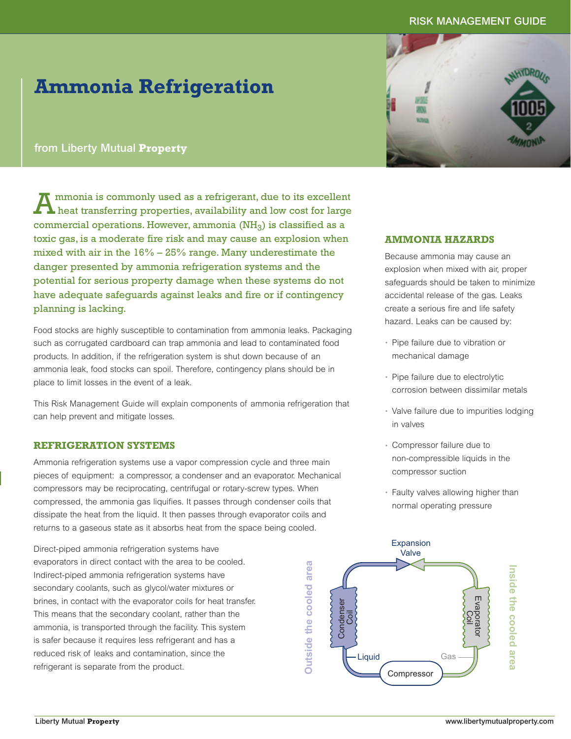# **RISK MANAGEMENT GUIDE**

# **Ammonia Refrigeration**

# **from Liberty Mutual Property**

Ammonia is commonly used as a refrigerant, due to its excellent heat transferring properties, availability and low cost for large commercial operations. However, ammonia  $(NH_3)$  is classified as a toxic gas, is a moderate fire risk and may cause an explosion when mixed with air in the 16% – 25% range. Many underestimate the danger presented by ammonia refrigeration systems and the potential for serious property damage when these systems do not have adequate safeguards against leaks and fire or if contingency planning is lacking.

Food stocks are highly susceptible to contamination from ammonia leaks. Packaging such as corrugated cardboard can trap ammonia and lead to contaminated food products. In addition, if the refrigeration system is shut down because of an ammonia leak, food stocks can spoil. Therefore, contingency plans should be in place to limit losses in the event of a leak.

This Risk Management Guide will explain components of ammonia refrigeration that can help prevent and mitigate losses.

# **REFRIGERATION SYSTEMS**

Ammonia refrigeration systems use a vapor compression cycle and three main pieces of equipment: a compressor, a condenser and an evaporator. Mechanical compressors may be reciprocating, centrifugal or rotary-screw types. When compressed, the ammonia gas liquifies. It passes through condenser coils that dissipate the heat from the liquid. It then passes through evaporator coils and returns to a gaseous state as it absorbs heat from the space being cooled.

Direct-piped ammonia refrigeration systems have evaporators in direct contact with the area to be cooled. Indirect-piped ammonia refrigeration systems have secondary coolants, such as glycol/water mixtures or brines, in contact with the evaporator coils for heat transfer. This means that the secondary coolant, rather than the ammonia, is transported through the facility. This system is safer because it requires less refrigerant and has a reduced risk of leaks and contamination, since the refrigerant is separate from the product.



# **AMMONIA HAZARDS**

Because ammonia may cause an explosion when mixed with air, proper safeguards should be taken to minimize accidental release of the gas. Leaks create a serious fire and life safety hazard. Leaks can be caused by:

- Pipe failure due to vibration or mechanical damage
- Pipe failure due to electrolytic corrosion between dissimilar metals
- Valve failure due to impurities lodging in valves
- Compressor failure due to non-compressible liquids in the compressor suction
- Faulty valves allowing higher than normal operating pressure

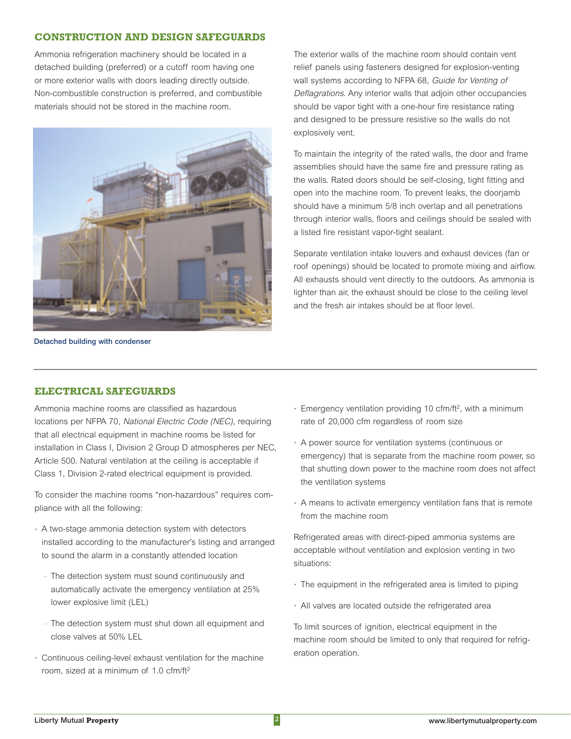# **CONSTRUCTION AND DESIGN SAFEGUARDS**

Ammonia refrigeration machinery should be located in a detached building (preferred) or a cutoff room having one or more exterior walls with doors leading directly outside. Non-combustible construction is preferred, and combustible materials should not be stored in the machine room.



**Detached building with condenser**

The exterior walls of the machine room should contain vent relief panels using fasteners designed for explosion-venting wall systems according to NFPA 68, Guide for Venting of Deflagrations. Any interior walls that adjoin other occupancies should be vapor tight with a one-hour fire resistance rating and designed to be pressure resistive so the walls do not explosively vent.

To maintain the integrity of the rated walls, the door and frame assemblies should have the same fire and pressure rating as the walls. Rated doors should be self-closing, tight fitting and open into the machine room. To prevent leaks, the doorjamb should have a minimum 5/8 inch overlap and all penetrations through interior walls, floors and ceilings should be sealed with a listed fire resistant vapor-tight sealant.

Separate ventilation intake louvers and exhaust devices (fan or roof openings) should be located to promote mixing and airflow. All exhausts should vent directly to the outdoors. As ammonia is lighter than air, the exhaust should be close to the ceiling level and the fresh air intakes should be at floor level.

# **ELECTRICAL SAFEGUARDS**

Ammonia machine rooms are classified as hazardous locations per NFPA 70, National Electric Code (NEC), requiring that all electrical equipment in machine rooms be listed for installation in Class I, Division 2 Group D atmospheres per NEC, Article 500. Natural ventilation at the ceiling is acceptable if Class 1, Division 2-rated electrical equipment is provided.

To consider the machine rooms "non-hazardous" requires compliance with all the following:

- A two-stage ammonia detection system with detectors installed according to the manufacturer's listing and arranged to sound the alarm in a constantly attended location
	- The detection system must sound continuously and automatically activate the emergency ventilation at 25% lower explosive limit (LEL)
	- The detection system must shut down all equipment and close valves at 50% LEL
- Continuous ceiling-level exhaust ventilation for the machine room, sized at a minimum of 1.0 cfm/ft2
- Emergency ventilation providing 10 cfm/ft2, with a minimum rate of 20,000 cfm regardless of room size
- A power source for ventilation systems (continuous or emergency) that is separate from the machine room power, so that shutting down power to the machine room does not affect the ventilation systems
- A means to activate emergency ventilation fans that is remote from the machine room

Refrigerated areas with direct-piped ammonia systems are acceptable without ventilation and explosion venting in two situations:

- The equipment in the refrigerated area is limited to piping
- All valves are located outside the refrigerated area

To limit sources of ignition, electrical equipment in the machine room should be limited to only that required for refrigeration operation.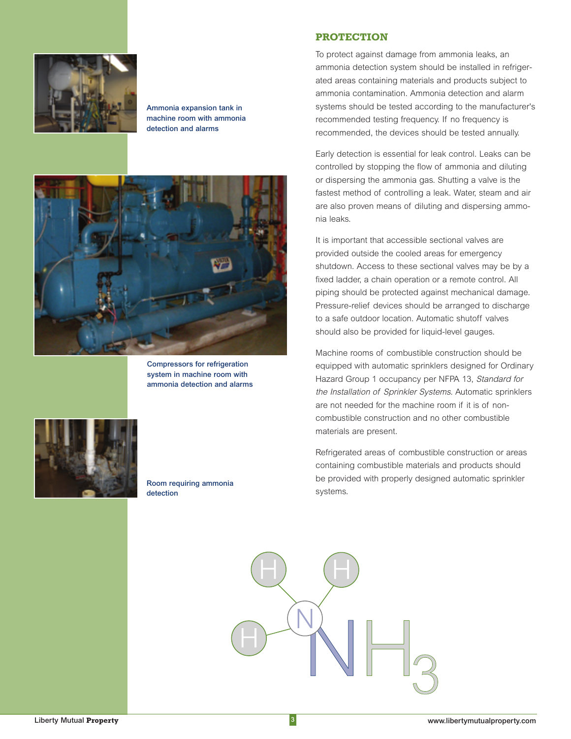

**Ammonia expansion tank in machine room with ammonia detection and alarms**



**Compressors for refrigeration system in machine room with ammonia detection and alarms**

**Room requiring ammonia** 

**detection**



#### **PROTECTION**

To protect against damage from ammonia leaks, an ammonia detection system should be installed in refrigerated areas containing materials and products subject to ammonia contamination. Ammonia detection and alarm systems should be tested according to the manufacturer's recommended testing frequency. If no frequency is recommended, the devices should be tested annually.

Early detection is essential for leak control. Leaks can be controlled by stopping the flow of ammonia and diluting or dispersing the ammonia gas. Shutting a valve is the fastest method of controlling a leak. Water, steam and air are also proven means of diluting and dispersing ammonia leaks.

It is important that accessible sectional valves are provided outside the cooled areas for emergency shutdown. Access to these sectional valves may be by a fixed ladder, a chain operation or a remote control. All piping should be protected against mechanical damage. Pressure-relief devices should be arranged to discharge to a safe outdoor location. Automatic shutoff valves should also be provided for liquid-level gauges.

Machine rooms of combustible construction should be equipped with automatic sprinklers designed for Ordinary Hazard Group 1 occupancy per NFPA 13, Standard for the Installation of Sprinkler Systems. Automatic sprinklers are not needed for the machine room if it is of noncombustible construction and no other combustible materials are present.

Refrigerated areas of combustible construction or areas containing combustible materials and products should be provided with properly designed automatic sprinkler systems.